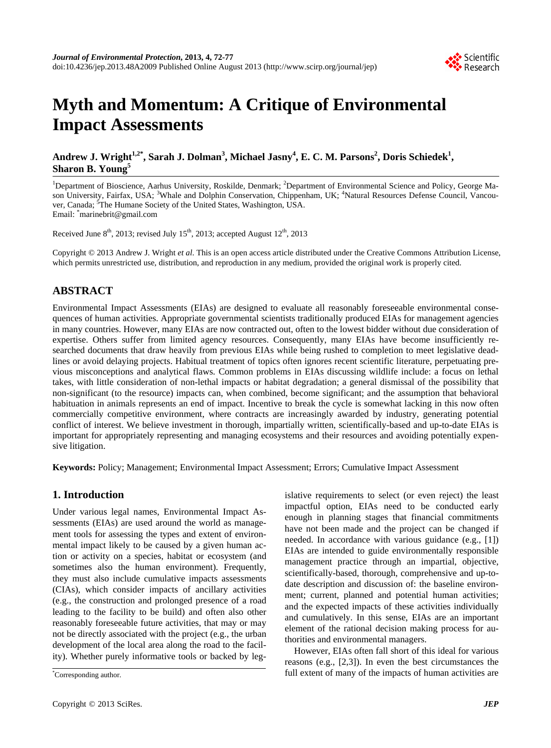

# **Myth and Momentum: A Critique of Environmental Impact Assessments**

Andrew J. Wright<sup>1,2\*</sup>, Sarah J. Dolman<sup>3</sup>, Michael Jasny<sup>4</sup>, E. C. M. Parsons<sup>2</sup>, Doris Schiedek<sup>1</sup>, **Sharon B. Young<sup>5</sup>**

<sup>1</sup>Department of Bioscience, Aarhus University, Roskilde, Denmark; <sup>2</sup>Department of Environmental Science and Policy, George Mason University, Fairfax, USA; <sup>3</sup>Whale and Dolphin Conservation, Chippenham, UK; <sup>4</sup>Natural Resources Defense Council, Vancouver, Canada; <sup>5</sup>The Humane Society of the United States, Washington, USA. Email: \* marinebrit@gmail.com

Received June  $8<sup>th</sup>$ , 2013; revised July 15<sup>th</sup>, 2013; accepted August 12<sup>th</sup>, 2013

Copyright © 2013 Andrew J. Wright *et al*. This is an open access article distributed under the Creative Commons Attribution License, which permits unrestricted use, distribution, and reproduction in any medium, provided the original work is properly cited.

# **ABSTRACT**

Environmental Impact Assessments (EIAs) are designed to evaluate all reasonably foreseeable environmental consequences of human activities. Appropriate governmental scientists traditionally produced EIAs for management agencies in many countries. However, many EIAs are now contracted out, often to the lowest bidder without due consideration of expertise. Others suffer from limited agency resources. Consequently, many EIAs have become insufficiently researched documents that draw heavily from previous EIAs while being rushed to completion to meet legislative deadlines or avoid delaying projects. Habitual treatment of topics often ignores recent scientific literature, perpetuating previous misconceptions and analytical flaws. Common problems in EIAs discussing wildlife include: a focus on lethal takes, with little consideration of non-lethal impacts or habitat degradation; a general dismissal of the possibility that non-significant (to the resource) impacts can, when combined, become significant; and the assumption that behavioral habituation in animals represents an end of impact. Incentive to break the cycle is somewhat lacking in this now often commercially competitive environment, where contracts are increasingly awarded by industry, generating potential conflict of interest. We believe investment in thorough, impartially written, scientifically-based and up-to-date EIAs is important for appropriately representing and managing ecosystems and their resources and avoiding potentially expensive litigation.

**Keywords:** Policy; Management; Environmental Impact Assessment; Errors; Cumulative Impact Assessment

## **1. Introduction**

Under various legal names, Environmental Impact Assessments (EIAs) are used around the world as management tools for assessing the types and extent of environmental impact likely to be caused by a given human action or activity on a species, habitat or ecosystem (and sometimes also the human environment). Frequently, they must also include cumulative impacts assessments (CIAs), which consider impacts of ancillary activities (e.g., the construction and prolonged presence of a road leading to the facility to be build) and often also other reasonably foreseeable future activities, that may or may not be directly associated with the project (e.g., the urban development of the local area along the road to the facility). Whether purely informative tools or backed by legislative requirements to select (or even reject) the least impactful option, EIAs need to be conducted early enough in planning stages that financial commitments have not been made and the project can be changed if needed. In accordance with various guidance (e.g., [1]) EIAs are intended to guide environmentally responsible management practice through an impartial, objective, scientifically-based, thorough, comprehensive and up-todate description and discussion of: the baseline environment; current, planned and potential human activities; and the expected impacts of these activities individually and cumulatively. In this sense, EIAs are an important element of the rational decision making process for authorities and environmental managers.

However, EIAs often fall short of this ideal for various reasons (e.g., [2,3]). In even the best circumstances the full extent of many of the impacts of human activities are

Corresponding author.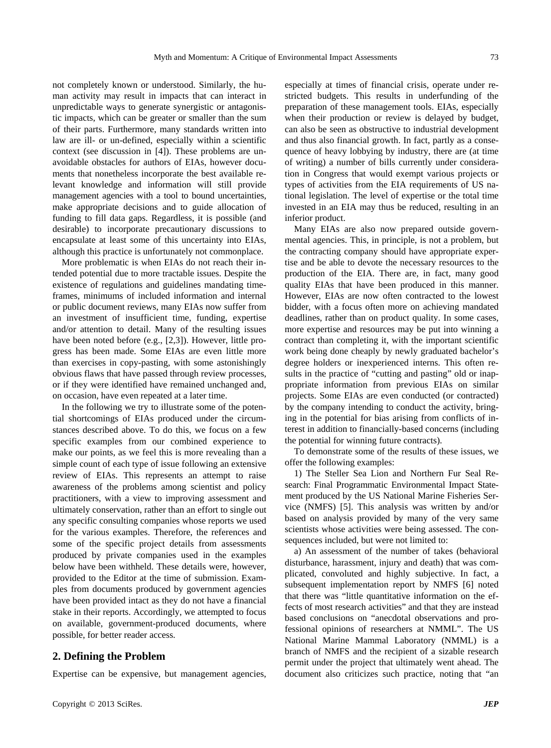not completely known or understood. Similarly, the human activity may result in impacts that can interact in unpredictable ways to generate synergistic or antagonistic impacts, which can be greater or smaller than the sum of their parts. Furthermore, many standards written into law are ill- or un-defined, especially within a scientific context (see discussion in [4]). These problems are unavoidable obstacles for authors of EIAs, however documents that nonetheless incorporate the best available relevant knowledge and information will still provide management agencies with a tool to bound uncertainties, make appropriate decisions and to guide allocation of funding to fill data gaps. Regardless, it is possible (and desirable) to incorporate precautionary discussions to encapsulate at least some of this uncertainty into EIAs, although this practice is unfortunately not commonplace.

More problematic is when EIAs do not reach their intended potential due to more tractable issues. Despite the existence of regulations and guidelines mandating timeframes, minimums of included information and internal or public document reviews, many EIAs now suffer from an investment of insufficient time, funding, expertise and/or attention to detail. Many of the resulting issues have been noted before (e.g., [2,3]). However, little progress has been made. Some EIAs are even little more than exercises in copy-pasting, with some astonishingly obvious flaws that have passed through review processes, or if they were identified have remained unchanged and, on occasion, have even repeated at a later time.

In the following we try to illustrate some of the potential shortcomings of EIAs produced under the circumstances described above. To do this, we focus on a few specific examples from our combined experience to make our points, as we feel this is more revealing than a simple count of each type of issue following an extensive review of EIAs. This represents an attempt to raise awareness of the problems among scientist and policy practitioners, with a view to improving assessment and ultimately conservation, rather than an effort to single out any specific consulting companies whose reports we used for the various examples. Therefore, the references and some of the specific project details from assessments produced by private companies used in the examples below have been withheld. These details were, however, provided to the Editor at the time of submission. Examples from documents produced by government agencies have been provided intact as they do not have a financial stake in their reports. Accordingly, we attempted to focus on available, government-produced documents, where possible, for better reader access.

## **2. Defining the Problem**

Expertise can be expensive, but management agencies,

especially at times of financial crisis, operate under restricted budgets. This results in underfunding of the preparation of these management tools. EIAs, especially when their production or review is delayed by budget, can also be seen as obstructive to industrial development and thus also financial growth. In fact, partly as a consequence of heavy lobbying by industry, there are (at time of writing) a number of bills currently under consideration in Congress that would exempt various projects or types of activities from the EIA requirements of US national legislation. The level of expertise or the total time invested in an EIA may thus be reduced, resulting in an inferior product.

Many EIAs are also now prepared outside governmental agencies. This, in principle, is not a problem, but the contracting company should have appropriate expertise and be able to devote the necessary resources to the production of the EIA. There are, in fact, many good quality EIAs that have been produced in this manner. However, EIAs are now often contracted to the lowest bidder, with a focus often more on achieving mandated deadlines, rather than on product quality. In some cases, more expertise and resources may be put into winning a contract than completing it, with the important scientific work being done cheaply by newly graduated bachelor's degree holders or inexperienced interns. This often results in the practice of "cutting and pasting" old or inappropriate information from previous EIAs on similar projects. Some EIAs are even conducted (or contracted) by the company intending to conduct the activity, bringing in the potential for bias arising from conflicts of interest in addition to financially-based concerns (including the potential for winning future contracts).

To demonstrate some of the results of these issues, we offer the following examples:

1) The Steller Sea Lion and Northern Fur Seal Research: Final Programmatic Environmental Impact Statement produced by the US National Marine Fisheries Service (NMFS) [5]. This analysis was written by and/or based on analysis provided by many of the very same scientists whose activities were being assessed. The consequences included, but were not limited to:

a) An assessment of the number of takes (behavioral disturbance, harassment, injury and death) that was complicated, convoluted and highly subjective. In fact, a subsequent implementation report by NMFS [6] noted that there was "little quantitative information on the effects of most research activities" and that they are instead based conclusions on "anecdotal observations and professional opinions of researchers at NMML". The US National Marine Mammal Laboratory (NMML) is a branch of NMFS and the recipient of a sizable research permit under the project that ultimately went ahead. The document also criticizes such practice, noting that "an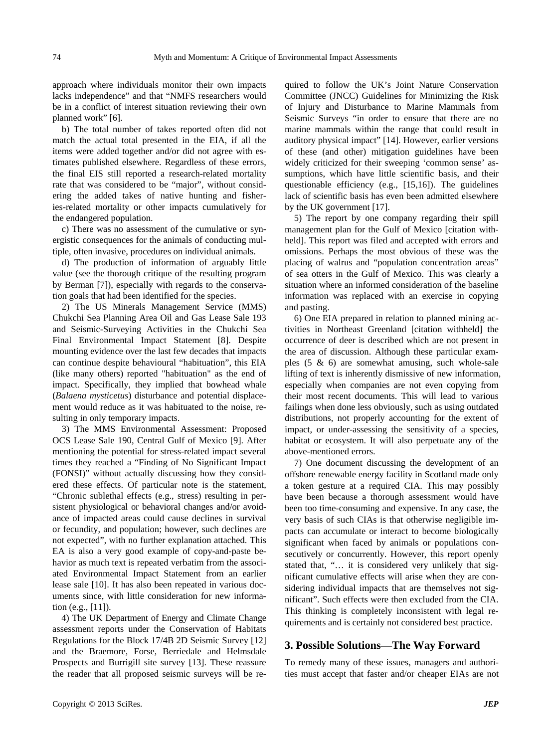approach where individuals monitor their own impacts lacks independence" and that "NMFS researchers would be in a conflict of interest situation reviewing their own planned work" [6].

b) The total number of takes reported often did not match the actual total presented in the EIA, if all the items were added together and/or did not agree with estimates published elsewhere. Regardless of these errors, the final EIS still reported a research-related mortality rate that was considered to be "major", without considering the added takes of native hunting and fisheries-related mortality or other impacts cumulatively for the endangered population.

c) There was no assessment of the cumulative or synergistic consequences for the animals of conducting multiple, often invasive, procedures on individual animals.

d) The production of information of arguably little value (see the thorough critique of the resulting program by Berman [7]), especially with regards to the conservation goals that had been identified for the species.

2) The US Minerals Management Service (MMS) Chukchi Sea Planning Area Oil and Gas Lease Sale 193 and Seismic-Surveying Activities in the Chukchi Sea Final Environmental Impact Statement [8]. Despite mounting evidence over the last few decades that impacts can continue despite behavioural "habituation", this EIA (like many others) reported "habituation" as the end of impact. Specifically, they implied that bowhead whale (*Balaena mysticetus*) disturbance and potential displacement would reduce as it was habituated to the noise, resulting in only temporary impacts.

3) The MMS Environmental Assessment: Proposed OCS Lease Sale 190, Central Gulf of Mexico [9]. After mentioning the potential for stress-related impact several times they reached a "Finding of No Significant Impact (FONSI)" without actually discussing how they considered these effects. Of particular note is the statement, "Chronic sublethal effects (e.g., stress) resulting in persistent physiological or behavioral changes and/or avoidance of impacted areas could cause declines in survival or fecundity, and population; however, such declines are not expected", with no further explanation attached. This EA is also a very good example of copy-and-paste behavior as much text is repeated verbatim from the associated Environmental Impact Statement from an earlier lease sale [10]. It has also been repeated in various documents since, with little consideration for new information (e.g., [11]).

4) The UK Department of Energy and Climate Change assessment reports under the Conservation of Habitats Regulations for the Block 17/4B 2D Seismic Survey [12] and the Braemore, Forse, Berriedale and Helmsdale Prospects and Burrigill site survey [13]. These reassure the reader that all proposed seismic surveys will be required to follow the UK's Joint Nature Conservation Committee (JNCC) Guidelines for Minimizing the Risk of Injury and Disturbance to Marine Mammals from Seismic Surveys "in order to ensure that there are no marine mammals within the range that could result in auditory physical impact" [14]. However, earlier versions of these (and other) mitigation guidelines have been widely criticized for their sweeping 'common sense' assumptions, which have little scientific basis, and their questionable efficiency (e.g., [15,16]). The guidelines lack of scientific basis has even been admitted elsewhere by the UK government [17].

5) The report by one company regarding their spill management plan for the Gulf of Mexico [citation withheld]. This report was filed and accepted with errors and omissions. Perhaps the most obvious of these was the placing of walrus and "population concentration areas" of sea otters in the Gulf of Mexico. This was clearly a situation where an informed consideration of the baseline information was replaced with an exercise in copying and pasting.

6) One EIA prepared in relation to planned mining activities in Northeast Greenland [citation withheld] the occurrence of deer is described which are not present in the area of discussion. Although these particular examples (5 & 6) are somewhat amusing, such whole-sale lifting of text is inherently dismissive of new information, especially when companies are not even copying from their most recent documents. This will lead to various failings when done less obviously, such as using outdated distributions, not properly accounting for the extent of impact, or under-assessing the sensitivity of a species, habitat or ecosystem. It will also perpetuate any of the above-mentioned errors.

7) One document discussing the development of an offshore renewable energy facility in Scotland made only a token gesture at a required CIA. This may possibly have been because a thorough assessment would have been too time-consuming and expensive. In any case, the very basis of such CIAs is that otherwise negligible impacts can accumulate or interact to become biologically significant when faced by animals or populations consecutively or concurrently. However, this report openly stated that, "… it is considered very unlikely that significant cumulative effects will arise when they are considering individual impacts that are themselves not significant". Such effects were then excluded from the CIA. This thinking is completely inconsistent with legal requirements and is certainly not considered best practice.

#### **3. Possible Solutions—The Way Forward**

To remedy many of these issues, managers and authorities must accept that faster and/or cheaper EIAs are not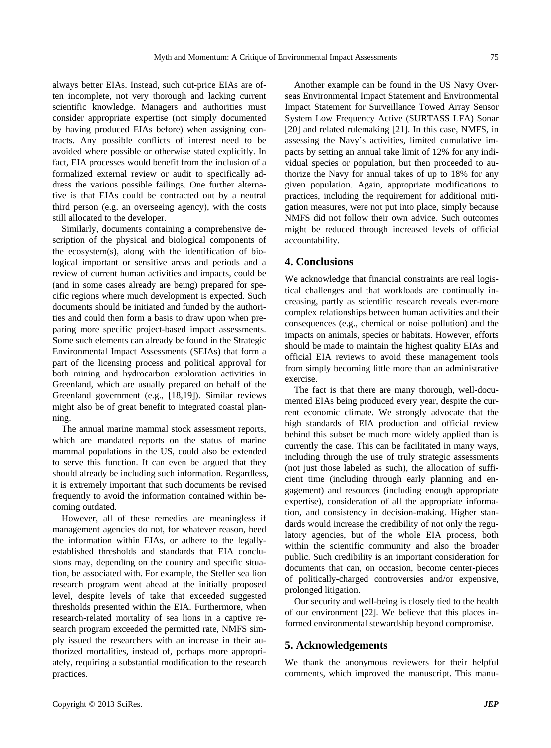always better EIAs. Instead, such cut-price EIAs are often incomplete, not very thorough and lacking current scientific knowledge. Managers and authorities must consider appropriate expertise (not simply documented by having produced EIAs before) when assigning contracts. Any possible conflicts of interest need to be avoided where possible or otherwise stated explicitly. In fact, EIA processes would benefit from the inclusion of a formalized external review or audit to specifically address the various possible failings. One further alternative is that EIAs could be contracted out by a neutral third person (e.g. an overseeing agency), with the costs still allocated to the developer.

Similarly, documents containing a comprehensive description of the physical and biological components of the ecosystem(s), along with the identification of biological important or sensitive areas and periods and a review of current human activities and impacts, could be (and in some cases already are being) prepared for specific regions where much development is expected. Such documents should be initiated and funded by the authorities and could then form a basis to draw upon when preparing more specific project-based impact assessments. Some such elements can already be found in the Strategic Environmental Impact Assessments (SEIAs) that form a part of the licensing process and political approval for both mining and hydrocarbon exploration activities in Greenland, which are usually prepared on behalf of the Greenland government (e.g., [18,19]). Similar reviews might also be of great benefit to integrated coastal planning.

The annual marine mammal stock assessment reports, which are mandated reports on the status of marine mammal populations in the US, could also be extended to serve this function. It can even be argued that they should already be including such information. Regardless, it is extremely important that such documents be revised frequently to avoid the information contained within becoming outdated.

However, all of these remedies are meaningless if management agencies do not, for whatever reason, heed the information within EIAs, or adhere to the legallyestablished thresholds and standards that EIA conclusions may, depending on the country and specific situation, be associated with. For example, the Steller sea lion research program went ahead at the initially proposed level, despite levels of take that exceeded suggested thresholds presented within the EIA. Furthermore, when research-related mortality of sea lions in a captive research program exceeded the permitted rate, NMFS simply issued the researchers with an increase in their authorized mortalities, instead of, perhaps more appropriately, requiring a substantial modification to the research practices.

Another example can be found in the US Navy Overseas Environmental Impact Statement and Environmental Impact Statement for Surveillance Towed Array Sensor System Low Frequency Active (SURTASS LFA) Sonar [20] and related rulemaking [21]. In this case, NMFS, in assessing the Navy's activities, limited cumulative impacts by setting an annual take limit of 12% for any individual species or population, but then proceeded to authorize the Navy for annual takes of up to 18% for any given population. Again, appropriate modifications to practices, including the requirement for additional mitigation measures, were not put into place, simply because NMFS did not follow their own advice. Such outcomes might be reduced through increased levels of official accountability.

## **4. Conclusions**

We acknowledge that financial constraints are real logistical challenges and that workloads are continually increasing, partly as scientific research reveals ever-more complex relationships between human activities and their consequences (e.g., chemical or noise pollution) and the impacts on animals, species or habitats. However, efforts should be made to maintain the highest quality EIAs and official EIA reviews to avoid these management tools from simply becoming little more than an administrative exercise.

The fact is that there are many thorough, well-documented EIAs being produced every year, despite the current economic climate. We strongly advocate that the high standards of EIA production and official review behind this subset be much more widely applied than is currently the case. This can be facilitated in many ways, including through the use of truly strategic assessments (not just those labeled as such), the allocation of sufficient time (including through early planning and engagement) and resources (including enough appropriate expertise), consideration of all the appropriate information, and consistency in decision-making. Higher standards would increase the credibility of not only the regulatory agencies, but of the whole EIA process, both within the scientific community and also the broader public. Such credibility is an important consideration for documents that can, on occasion, become center-pieces of politically-charged controversies and/or expensive, prolonged litigation.

Our security and well-being is closely tied to the health of our environment [22]. We believe that this places informed environmental stewardship beyond compromise.

#### **5. Acknowledgements**

We thank the anonymous reviewers for their helpful comments, which improved the manuscript. This manu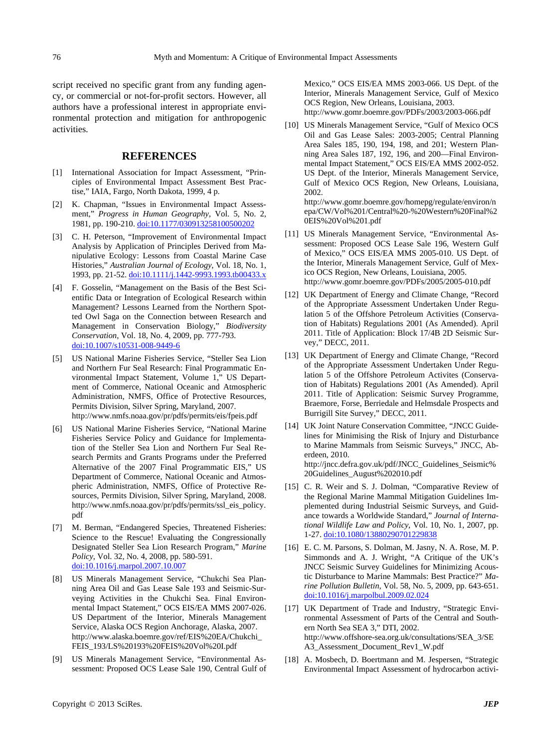script received no specific grant from any funding agency, or commercial or not-for-profit sectors. However, all authors have a professional interest in appropriate environmental protection and mitigation for anthropogenic activities.

#### **REFERENCES**

- [1] International Association for Impact Assessment, "Principles of Environmental Impact Assessment Best Practise," IAIA, Fargo, North Dakota, 1999, 4 p.
- [2] K. Chapman, "Issues in Environmental Impact Assessment," *Progress in Human Geography*, Vol. 5, No. 2, 1981, pp. 190-210. [doi:10.1177/030913258100500202](http://dx.doi.org/10.1177/030913258100500202)
- [3] C. H. Peterson, "Improvement of Environmental Impact Analysis by Application of Principles Derived from Manipulative Ecology: Lessons from Coastal Marine Case Histories," *Australian Journal of Ecology*, Vol. 18, No. 1, 1993, pp. 21-52. [doi:10.1111/j.1442-9993.1993.tb00433.x](http://dx.doi.org/10.1111/j.1442-9993.1993.tb00433.x)
- [4] F. Gosselin, "Management on the Basis of the Best Scientific Data or Integration of Ecological Research within Management? Lessons Learned from the Northern Spotted Owl Saga on the Connection between Research and Management in Conservation Biology," *Biodiversity Conservation*, Vol. 18, No. 4, 2009, pp. 777-793. [doi:10.1007/s10531-008-9449-6](http://dx.doi.org/10.1007/s10531-008-9449-6)
- [5] US National Marine Fisheries Service, "Steller Sea Lion and Northern Fur Seal Research: Final Programmatic Environmental Impact Statement, Volume 1," US Department of Commerce, National Oceanic and Atmospheric Administration, NMFS, Office of Protective Resources, Permits Division, Silver Spring, Maryland, 2007. http://www.nmfs.noaa.gov/pr/pdfs/permits/eis/fpeis.pdf
- [6] US National Marine Fisheries Service, "National Marine Fisheries Service Policy and Guidance for Implementation of the Steller Sea Lion and Northern Fur Seal Research Permits and Grants Programs under the Preferred Alternative of the 2007 Final Programmatic EIS," US Department of Commerce, National Oceanic and Atmospheric Administration, NMFS, Office of Protective Resources, Permits Division, Silver Spring, Maryland, 2008. http://www.nmfs.noaa.gov/pr/pdfs/permits/ssl\_eis\_policy. pdf
- [7] M. Berman, "Endangered Species, Threatened Fisheries: Science to the Rescue! Evaluating the Congressionally Designated Steller Sea Lion Research Program," *Marine Policy*, Vol. 32, No. 4, 2008, pp. 580-591. [doi:10.1016/j.marpol.2007.10.007](http://dx.doi.org/10.1016/j.marpol.2007.10.007)
- [8] US Minerals Management Service, "Chukchi Sea Planning Area Oil and Gas Lease Sale 193 and Seismic-Surveying Activities in the Chukchi Sea. Final Environmental Impact Statement," OCS EIS/EA MMS 2007-026. US Department of the Interior, Minerals Management Service, Alaska OCS Region Anchorage, Alaska, 2007. http://www.alaska.boemre.gov/ref/EIS%20EA/Chukchi\_ FEIS\_193/LS%20193%20FEIS%20Vol%20I.pdf
- [9] US Minerals Management Service, "Environmental Assessment: Proposed OCS Lease Sale 190, Central Gulf of

Mexico," OCS EIS/EA MMS 2003-066. US Dept. of the Interior, Minerals Management Service, Gulf of Mexico OCS Region, New Orleans, Louisiana, 2003. http://www.gomr.boemre.gov/PDFs/2003/2003-066.pdf

[10] US Minerals Management Service, "Gulf of Mexico OCS Oil and Gas Lease Sales: 2003-2005; Central Planning Area Sales 185, 190, 194, 198, and 201; Western Planning Area Sales 187, 192, 196, and 200—Final Environmental Impact Statement," OCS EIS/EA MMS 2002-052. US Dept. of the Interior, Minerals Management Service, Gulf of Mexico OCS Region, New Orleans, Louisiana, 2002.

http://www.gomr.boemre.gov/homepg/regulate/environ/n epa/CW/Vol%201/Central%20-%20Western%20Final%2 0EIS%20Vol%201.pdf

- [11] US Minerals Management Service, "Environmental Assessment: Proposed OCS Lease Sale 196, Western Gulf of Mexico," OCS EIS/EA MMS 2005-010. US Dept. of the Interior, Minerals Management Service, Gulf of Mexico OCS Region, New Orleans, Louisiana, 2005. http://www.gomr.boemre.gov/PDFs/2005/2005-010.pdf
- [12] UK Department of Energy and Climate Change, "Record of the Appropriate Assessment Undertaken Under Regulation 5 of the Offshore Petroleum Activities (Conservation of Habitats) Regulations 2001 (As Amended). April 2011. Title of Application: Block 17/4B 2D Seismic Survey," DECC, 2011.
- [13] UK Department of Energy and Climate Change, "Record of the Appropriate Assessment Undertaken Under Regulation 5 of the Offshore Petroleum Activites (Conservation of Habitats) Regulations 2001 (As Amended). April 2011. Title of Application: Seismic Survey Programme, Braemore, Forse, Berriedale and Helmsdale Prospects and Burrigill Site Survey," DECC, 2011.
- [14] UK Joint Nature Conservation Committee, "JNCC Guidelines for Minimising the Risk of Injury and Disturbance to Marine Mammals from Seismic Surveys," JNCC, Aberdeen, 2010. http://jncc.defra.gov.uk/pdf/JNCC\_Guidelines\_Seismic% 20Guidelines\_August%202010.pdf
- [15] C. R. Weir and S. J. Dolman, "Comparative Review of the Regional Marine Mammal Mitigation Guidelines Implemented during Industrial Seismic Surveys, and Guidance towards a Worldwide Standard," *Journal of International Wildlife Law and Policy*, Vol. 10, No. 1, 2007, pp. 1-27. [doi:10.1080/13880290701229838](http://dx.doi.org/10.1080/13880290701229838)
- [16] E. C. M. Parsons, S. Dolman, M. Jasny, N. A. Rose, M. P. Simmonds and A. J. Wright, "A Critique of the UK's JNCC Seismic Survey Guidelines for Minimizing Acoustic Disturbance to Marine Mammals: Best Practice?" *Marine Pollution Bulletin*, Vol. 58, No. 5, 2009, pp. 643-651. [doi:10.1016/j.marpolbul.2009.02.024](http://dx.doi.org/10.1016/j.marpolbul.2009.02.024)
- [17] UK Department of Trade and Industry, "Strategic Environmental Assessment of Parts of the Central and Southern North Sea SEA 3," DTI, 2002. http://www.offshore-sea.org.uk/consultations/SEA\_3/SE A3\_Assessment\_Document\_Rev1\_W.pdf
- [18] A. Mosbech, D. Boertmann and M. Jespersen, "Strategic Environmental Impact Assessment of hydrocarbon activi-